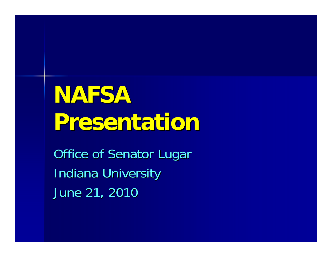# **NAFSA Presentation Presentation**

Office of Senator Lugar **Indiana University** June 21, 2010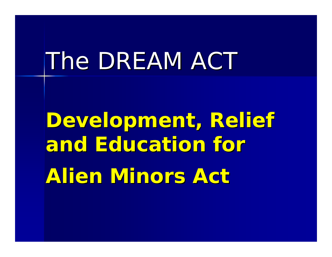# *The DREAM ACT The DREAM ACT*

Development, Relief **and Education for and Education for Alien Minors Act Alien Minors Act**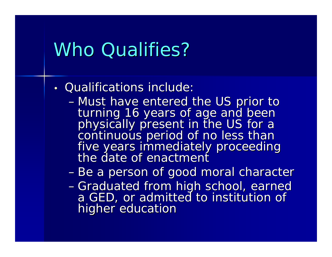#### Who Qualifies?

- Qualifications include:
	- -Must have entered the US prior to turning 16 years of age and been<br>physically present in the US for a<br>continuous period of no less than<br>five years immediately proceeding the date of enactment
	- Be a person of good moral character
	- Graduated from high school, earned a GED, or admitted to institution of higher education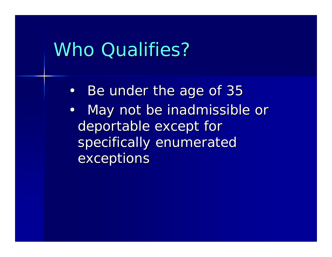#### Who Qualifies?

- •Be under the age of 35
- $\bullet$ May not be inadmissible or deportable except for specifically enumerated exceptions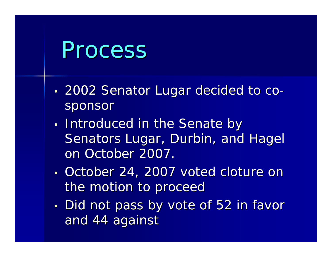# Process

- •• 2002 Senator Lugar decided to cosponsor
- •• Introduced in the Senate by Senators Lugar, Durbin, and Hagel on October 2007.
- •• October 24, 2007 voted cloture on the motion to proceed
- •• Did not pass by vote of 52 in favor and 44 against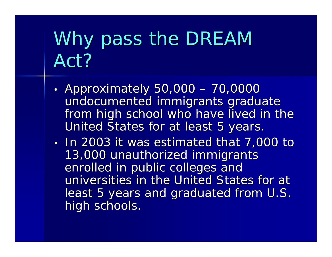# Why pass the DREAM Act?

- •• Approximately 50,000 – 70,0000 undocumented immigrants graduate from high school who have lived in the United States for at least 5 years.
- •In 2003 it was estimated that 7,000 to 13,000 unauthorized immigrants enrolled in public colleges and universities in the United States for at least 5 years and graduated from U.S. high schools.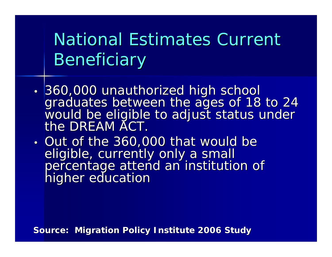National Estimates Current **Beneficiary** 

- 360,000 unauthorized high school graduates between the ages of 18 to 24<br>would be eligible to adjust status under the DREAM ACT.
- • $\cdot$  Out of the 360,000 that would be eligible, currently only a small<br>percentage attend an institution of<br>higher education

**Source: Migration Policy Institute 2006 Study**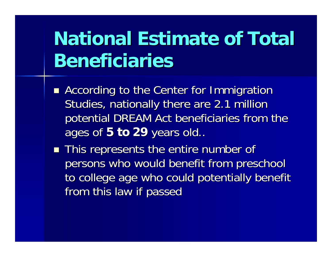## **National Estimate of Total Beneficiaries**

- **According to the Center for Immigration** Studies, nationally there are 2.1 million potential DREAM Act beneficiaries from the ages of 5 to 29 years old..
- $\blacksquare$  This represents the entire number of persons who would benefit from preschool to college age who could potentially benefit from this law if passed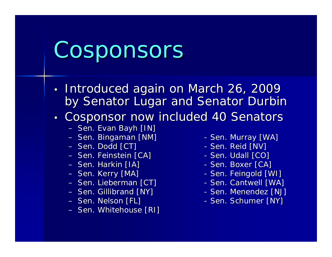# Cosponsors

- •• Introduced again on March 26, 2009 by Senator Lugar and Senator Durbin
- •Cosponsor now included 40 Senators
	- Sen. Evan Bayh [IN]
	- Sen. Bingaman [NM] Sen. Murray [WA]
	- Sen. Dodd [CT]  $-$  Sen. Reid [NV]  $-$  Sen. Reid [NV]  $\,$
	- Sen. Feinstein [CA] Sen. Udall [CO]
	- Sen. Harkin [IA] Sen. Boxer [CA]
	- Sen. Kerry [MA]
	- Sen. Lieberman [CT] Sen. Cantwell [WA]
	- Sen. Gillibrand [NY]  $-$  Sen. Menendez [NJ]  $\,$
	- Sen. Nelson [FL]
	- Sen. Whitehouse [RI]
- 
- 
- 
- 
- Sen. Feingold [WI]
- 
- 
- Sen. Schumer [NY]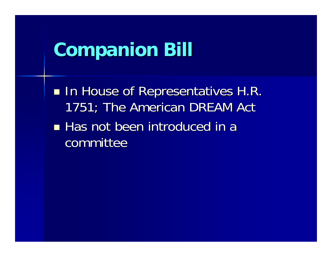### **Companion Bill Companion Bill**

**In House of Representatives H.R.** 1751; The American DREAM Act **Has not been introduced in a** committee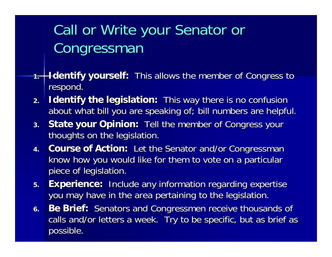#### Call or Write your Senator or Congressman

- **1.Identify yourself:** This allows the member of Congress to respond.
- **2.Identify the legislation:** This way there is no confusion about what bill you are speaking of; bill numbers are helpful.
- **3.State your Opinion:** Tell the member of Congress your thoughts on the legislation.
- **4.Course of Action:** Let the Senator and/or Congressman know how you would like for them to vote on a particular piece of legislation.
- **5.Experience:** Include any information regarding expertise you may have in the area pertaining to the legislation.
- **6.Be Brief:** Senators and Congressmen receive thousands of calls and/or letters a week. Try to be specific, but as brief as possible.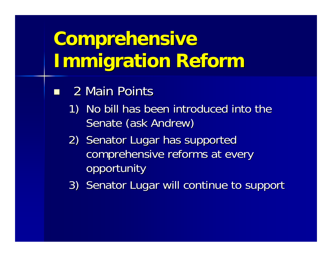## **Comprehensive Immigration Reform Immigration Reform**

- **2 Main Points** 
	- 1) No bill has been introduced into the Senate (ask Andrew)
	- 2) Senator Lugar has supported comprehensive reforms at every opportunity
	- 3) Senator Lugar will continue to support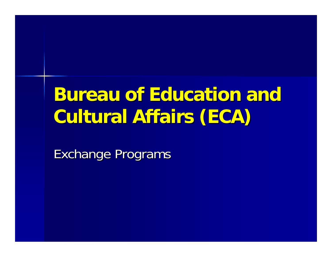## **Bureau of Education and Cultural Affairs (ECA) Cultural Affairs (ECA)**

Exchange Programs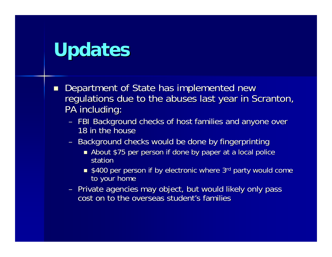## **Updates Updates**

- $\blacksquare$ Department of State has implemented new regulations due to the abuses last year in Scranton, PA including:
	- FBI Background checks of host families and anyone over 18 in the house
	- Background checks would be done by fingerprinting
		- **About \$75 per person if done by paper at a local police** statior
		- $\blacksquare$  \$400 per person if by electronic where 3rd party would come to your home
	- Private agencies may object, but would likely only pass cost on to the overseas student's families  $\,$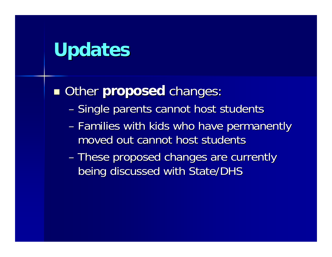## **Updates**

**n** Other **proposed** changes:

- –– Single parents cannot host students
- –– Families with kids who have permanently moved out cannot host students
- These proposed changes are currently being discussed with State/DHS being discussed with State/DHS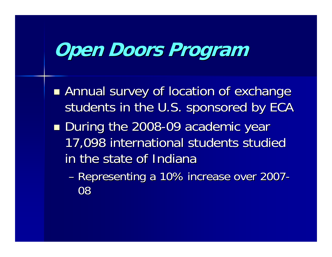## **Open Doors Open Doors Program Program**

- **Rannual survey of location of exchange** students in the U.S. sponsored by ECA
- ■ During the 2008-09 academic year 17,098 international students studied 17,098 international students studied in the state of Indiana
	- –– Representing a 10% increase over 2007 - 08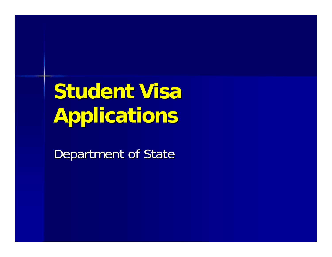# **Student Visa Applications Applications**

Department of State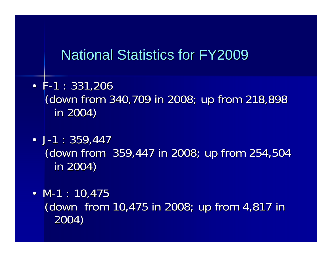#### National Statistics for FY2009

- F-1 : 331,206 (down from 340,709 in 2008; up from 218,898 in 2004) in 2004)
- J-1 : 359,447 (down from 359,447 in 2008; up from 254,504 (down from 359,447 in 2008; up from 254,504 in 2004) in 2004)
- M-1 : 10,475 (down from 10,475 in 2008; up from 4,817 in 2004)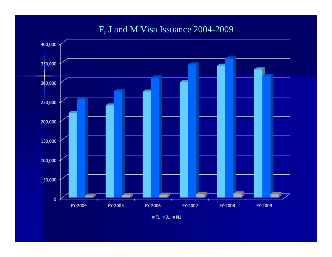#### F, J and M Visa Issuance 2004 -2009



 $F1 = J1 = M1$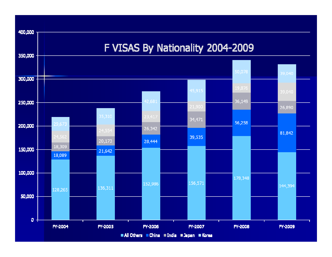

All Others China Findia Flapan Florea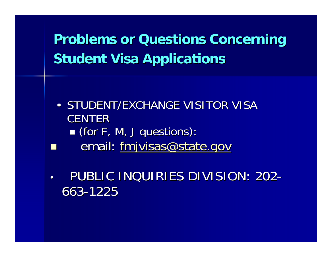#### **Problems or Questions Concerning Student Visa Applications**

- •• STUDENT/EXCHANGE VISITOR VISA **CENTER**  (for F, M, J questions): (for F, M, J questions): email: [fmjvisas@state.gov](mailto:fmjvisas@state.gov)
- •**• PUBLIC INQUIRIES DIVISION: 202** -663-1225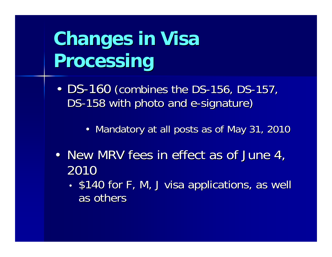# **Changes in Visa Processing Processing**

- •• DS-160 (combines the DS-156, DS-157, DS-158 with photo and e-signature)
	- $\bullet\,$  Mandatory at all posts as of May 31, 2010
- New MRV fees in effect as of June 4, 2010
	- •• \$140 for F, M, J visa applications, as well as others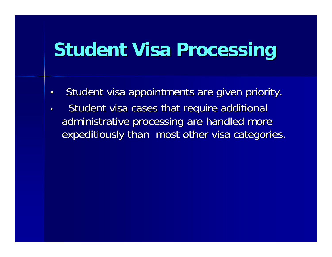## **Student Visa Processing Student Visa Processing**

- •Student visa appointments are given priority.
- •Student visa cases that require additional administrative processing are handled more expeditiously than most other visa categories.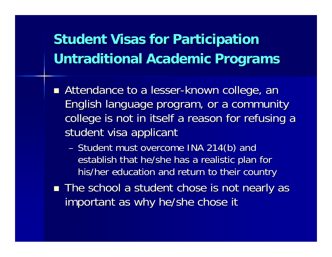#### **Student Visas for Participation Untraditional Academic Programs Untraditional Academic Programs**

- Attendance to a lesser-known college, an English language program, or a community English language program, or a community college is not in itself a reason for refusing a student visa applicant
	- Student must overcome INA 214(b) and establish that he/she has a realistic plan for his/her education and return to their country
- The school a student chose is not nearly as important as why he/she chose it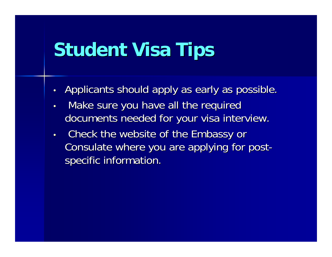## **Student Visa Tips**

- •Applicants should apply as early as possible.
- •Make sure you have all the required documents needed for your visa interview.
- • Check the website of the Embassy or Check the website of the Embassy or Consulate where you are applying for post specific information.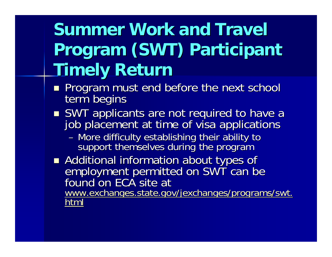## **Summer Work and Travel Program (SWT) Participant Timely Return Timely Return**

- **Program must end before the next school** term begins
- SWT applicants are not required to have a job placement at time of visa applications
	- More difficulty establishing their ability to support themselves during the program
- Additional information about types of employment permitted on SWT can be<br>found on ECA site at [www.exchanges.state.gov/jexchanges/programs/swt.](http://www.exchanges.state.gov/jexchanges/programs/swt.html)<br>[html](http://www.exchanges.state.gov/jexchanges/programs/swt.html)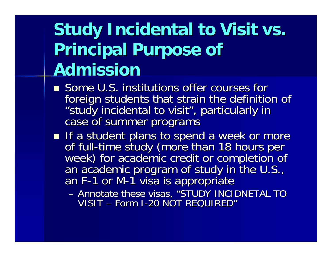## **Study Incidental to Visit vs. Principal Purpose of Admission Admission**

- **Some U.S. institutions offer courses for** foreign students that strain the definition of "study incidental to visit", particularly in<br>case of summer programs
- If a student plans to spend a week or more<br>If a student plans to spend a week or more of full-time study (more than 18 hours per<br>week) for academic credit or completion of<br>an academic program of study in the U.S., F-1 or M-1 visa is appropriate
	- Annotate these visas, "STUDY INCIDNETAL TO  $\,$ VISIT – Form I-20 NOT REQUIRED'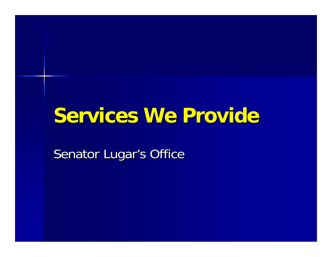### **Services We Provide Services We Provide**

Senator Lugar's Office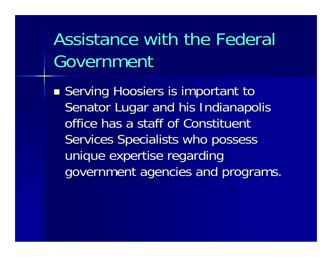## Assistance with the Federal Government

**Serving Hoosiers is important to Article** Senator Lugar and his Indianapolis office has a staff of Constituent Services Specialists who possess unique expertise regarding government agencies and programs.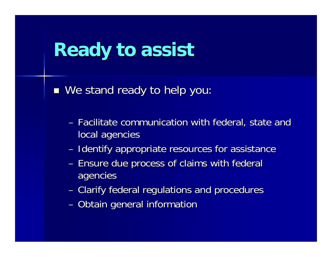## **Ready to assist Ready to assist**

■ We stand ready to help you:

- Facilitate communication with federal, state and local agencies
- Identify appropriate resources for assistance
- Ensure due process of claims with federal agencies agencies
- Clarify federal regulations and procedures
- Obtain general informatior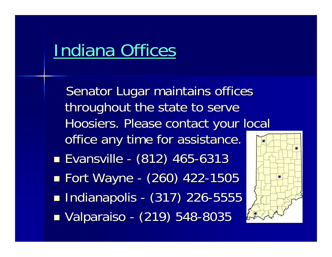### **Indiana Offices**

Senator Lugar maintains offices throughout the state to serve Hoosiers. Please contact your local office any time for assistance.  $\blacksquare$  Evansville -- (812) 465-6313 **Example Transformal Property** -- (260) 422-1505  $\blacksquare$  Indianapolis -- (317) 226-5555  $\blacksquare$  Valparaiso -- (219) 548-8035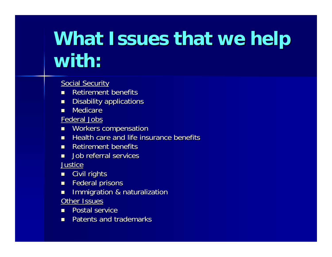# **What Issues that we help with:**

Social Security

- **Retirement benefits**
- $\blacksquare$  Disability applications
- $\blacksquare$ Medicare

Federal Jobs

- **NORERS compensation**
- $\blacksquare$  Health care and life insurance benefits
- **Retirement benefits**
- **Job referral services** Justice
- $\mathcal{A}$ Civil rights
- $\blacksquare$ Federal prisons
- $\blacksquare$ Immigration & naturalization

Other Issues

- $\mathcal{A}$ **Postal service**
- **Patents and trademarks**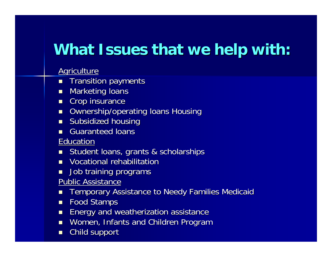#### **What Issues that we help with:**

#### Agriculture

- $\blacksquare$ **Transition payments**
- $\blacksquare$ **Marketing loans**
- $\blacksquare$  Crop insurance
- **DECOMANG OWNERSHIP/operating loans Housing**
- $\blacksquare$  Subsidized housing
- $\blacksquare$ **Guaranteed loans**

#### <u>Educatior</u>

- $\blacksquare$ Student loans, grants & scholarships
- $\blacksquare$  Vocational rehabilitation
- П Job training programs
- Public Assistance
- $\blacksquare$ Temporary Assistance to Needy Families Medicaid
- П Food Stamps
- $\blacksquare$ Energy and weatherization assistance Energy and weatherization assistance
- $\blacksquare$ Women, Infants and Children Program
- П Child support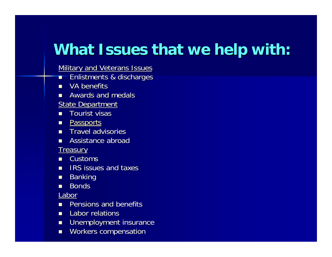#### **What Issues that we help with:**

**Military and Veterans Issues** 

- $\mathcal{A}$ Enlistments & discharges Enlistments & discharges
- $\blacksquare$ VA benefits
- $\blacksquare$ Awards and medals
- **State Department**
- $\mathcal{L}$ Tourist visas
- **P**assports
- **Travel advisories**
- $\blacksquare$ Assistance abroad

**Treasury** 

- $\blacksquare$  Customs
- **CONTRACTOR** IRS issues and taxes
- $\blacksquare$ **Banking**
- $\blacksquare$ **Bonds**

Labor

- $\blacksquare$ Pensions and benefits
- **Labor relations**
- $\blacksquare$ Unemployment insurance
- П Workers compensation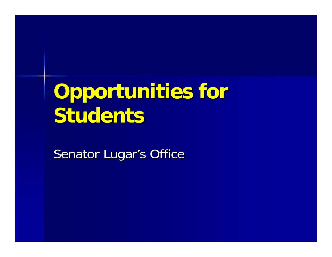# **Opportunities for Students Students**

Senator Lugar's Office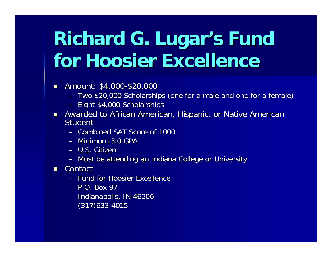# **Richard G. Lugar's Fund for Hoosier Excellence for Hoosier Excellence**

- $\blacksquare$ Amount: \$4,000-\$20,000
	- Two \$20,000 Scholarships (one for a male and one for a female)
	- Eight \$4,000 Scholarships
- Awarded to African American, Hispanic, or Native American Awarded to African American, Hispanic, or Native American Student**Student** 
	- Combined SAT Score of 1000
	- Minimum 3.0 GPA
	- U.S. Citizer
	- Must be attending an Indiana College or University
- $\blacksquare$  Contact
	- Fund for Hoosier Excellence P.O. Box 97 Indianapolis, IN 46206  $(317)633 - 4015$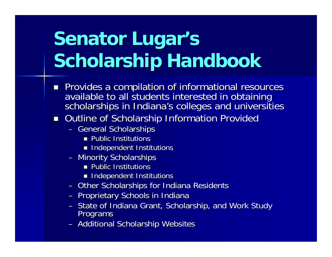# **Senator Lugar's Scholarship Handbook**

- Provides a compilation of informational resources available to all students interested in obtaining<br>scholarships in Indiana's colleges and universities
- Outline of Scholarship Information Provided
	- General Scholarships
		- **Public Institutions**
		- $\blacksquare$  Independent Institutions
	- Minority Scholarships
		- $\blacksquare$  Public Institutions
		- $\blacksquare$  Independent Institutions
	- Other Scholarships for Indiana Residents
	- Proprietary Schools in Indiana
	- State of Indiana Grant, Scholarship, and Work Study<br>Programs
	- Additional Scholarship Websites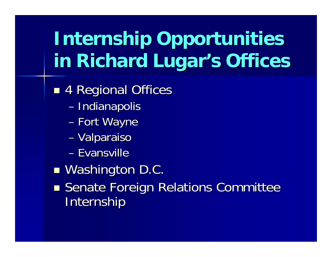# **Internship Opportunities Internship Opportunities in Richard Lugar's Offices**

- ■ 4 Regional Offices
	- –– Indianapolis
	- Fort Wayne
	- –– Valparaiso
	- Evansville
- ■ Washington D.C.
- **Senate Foreign Relations Committee** Internship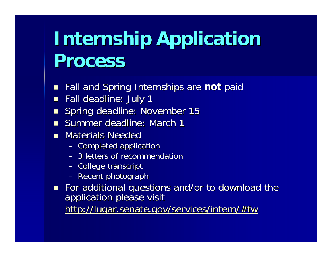## **Internship Application Process Process**

- **Fall and Spring Internships are not paid**
- $\blacksquare$ Fall deadline: July 1
- $\blacksquare$ Spring deadline: November 15
- **S**ummer deadline: March 1
- **Materials Needec** Materials Needec
	- Completed applicatior
	- 3 letters of recommendation 3 letters of recommendation
	- College transcript
	- Recent photograph
- For additional questions and/or to download the application please visit <http://lugar.senate.gov/services/intern/#fw>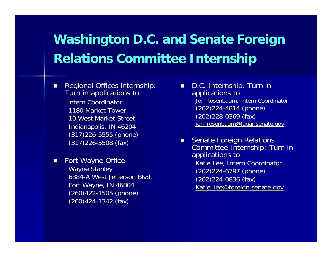#### Washington D.C. and Senate Foreign **Relations Committee Internship Relations Committee Internship**

- $\blacksquare$ Regional Offices internship:<br>Turn in applications to Intern Coordinator 1180 Market Tower 10 West Market Street Indianapolis, IN 46204  $(317)226 - 5555$  (phone)  $(317)226 - 5508$  (fax)
- $\blacksquare$ Fort Wayne Office Wayne Stanley 6384-A West Jefferson Blvd. Fort Wayne, IN 46804 (260)422-1505 (phone)  $(260)424-1342$  (fax)
- O۴ D.C. Internship: Turn in applications to Jon Rosenbaum, Intern Coordinator (202) 224-4814 (phone)  $(202)228-0369$  (fax) [jon\\_rosenbaum@lugar.senate.gov](mailto:jon_rosenbaum@lugar.senate.gov)
- $\blacksquare$ Senate Foreign Relations<br>Committee Internship: Turn in<br>applications to Katie Lee, Intern Coordinator (202)224-6797 (phone)  $(202)224 - 0836$  (fax) [Katie\\_lee@foreign.senate.gov](mailto:Katie_lee@foreign.senate.gov)